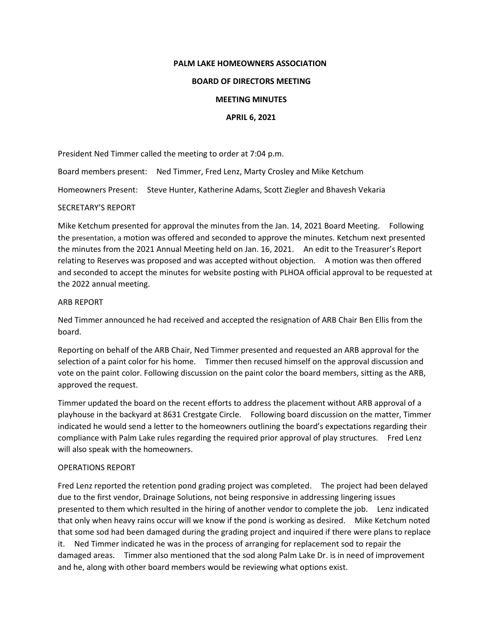# **PALM LAKE HOMEOWNERS ASSOCIATION**

# **BOARD OF DIRECTORS MEETING**

# **MEETING MINUTES**

# **APRIL 6, 2021**

President Ned Timmer called the meeting to order at 7:04 p.m.

Board members present: Ned Timmer, Fred Lenz, Marty Crosley and Mike Ketchum

Homeowners Present: Steve Hunter, Katherine Adams, Scott Ziegler and Bhavesh Vekaria

# SECRETARY'S REPORT

Mike Ketchum presented for approval the minutes from the Jan. 14, 2021 Board Meeting. Following the presentation, a motion was offered and seconded to approve the minutes. Ketchum next presented the minutes from the 2021 Annual Meeting held on Jan. 16, 2021. An edit to the Treasurer's Report relating to Reserves was proposed and was accepted without objection. A motion was then offered and seconded to accept the minutes for website posting with PLHOA official approval to be requested at the 2022 annual meeting.

# ARB REPORT

Ned Timmer announced he had received and accepted the resignation of ARB Chair Ben Ellis from the board.

Reporting on behalf of the ARB Chair, Ned Timmer presented and requested an ARB approval for the selection of a paint color for his home. Timmer then recused himself on the approval discussion and vote on the paint color. Following discussion on the paint color the board members, sitting as the ARB, approved the request.

Timmer updated the board on the recent efforts to address the placement without ARB approval of a playhouse in the backyard at 8631 Crestgate Circle. Following board discussion on the matter, Timmer indicated he would send a letter to the homeowners outlining the board's expectations regarding their compliance with Palm Lake rules regarding the required prior approval of play structures. Fred Lenz will also speak with the homeowners.

#### OPERATIONS REPORT

Fred Lenz reported the retention pond grading project was completed. The project had been delayed due to the first vendor, Drainage Solutions, not being responsive in addressing lingering issues presented to them which resulted in the hiring of another vendor to complete the job. Lenz indicated that only when heavy rains occur will we know if the pond is working as desired. Mike Ketchum noted that some sod had been damaged during the grading project and inquired if there were plans to replace it. Ned Timmer indicated he was in the process of arranging for replacement sod to repair the damaged areas. Timmer also mentioned that the sod along Palm Lake Dr. is in need of improvement and he, along with other board members would be reviewing what options exist.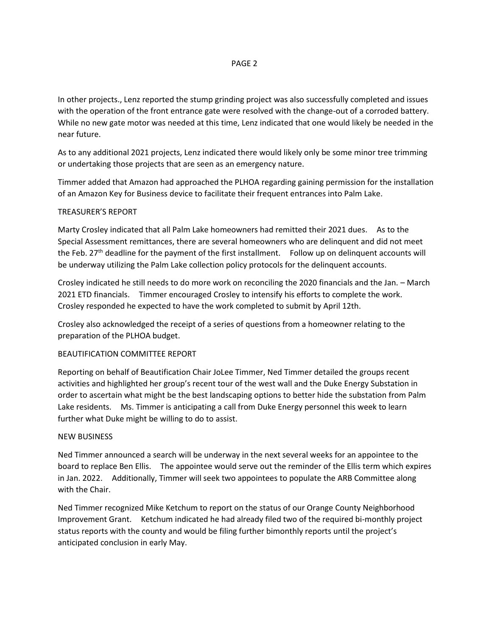# PAGE 2

In other projects., Lenz reported the stump grinding project was also successfully completed and issues with the operation of the front entrance gate were resolved with the change-out of a corroded battery. While no new gate motor was needed at this time, Lenz indicated that one would likely be needed in the near future.

As to any additional 2021 projects, Lenz indicated there would likely only be some minor tree trimming or undertaking those projects that are seen as an emergency nature.

Timmer added that Amazon had approached the PLHOA regarding gaining permission for the installation of an Amazon Key for Business device to facilitate their frequent entrances into Palm Lake.

# TREASURER'S REPORT

Marty Crosley indicated that all Palm Lake homeowners had remitted their 2021 dues. As to the Special Assessment remittances, there are several homeowners who are delinquent and did not meet the Feb. 27<sup>th</sup> deadline for the payment of the first installment. Follow up on delinquent accounts will be underway utilizing the Palm Lake collection policy protocols for the delinquent accounts.

Crosley indicated he still needs to do more work on reconciling the 2020 financials and the Jan. – March 2021 ETD financials. Timmer encouraged Crosley to intensify his efforts to complete the work. Crosley responded he expected to have the work completed to submit by April 12th.

Crosley also acknowledged the receipt of a series of questions from a homeowner relating to the preparation of the PLHOA budget.

#### BEAUTIFICATION COMMITTEE REPORT

Reporting on behalf of Beautification Chair JoLee Timmer, Ned Timmer detailed the groups recent activities and highlighted her group's recent tour of the west wall and the Duke Energy Substation in order to ascertain what might be the best landscaping options to better hide the substation from Palm Lake residents. Ms. Timmer is anticipating a call from Duke Energy personnel this week to learn further what Duke might be willing to do to assist.

#### NEW BUSINESS

Ned Timmer announced a search will be underway in the next several weeks for an appointee to the board to replace Ben Ellis. The appointee would serve out the reminder of the Ellis term which expires in Jan. 2022. Additionally, Timmer will seek two appointees to populate the ARB Committee along with the Chair.

Ned Timmer recognized Mike Ketchum to report on the status of our Orange County Neighborhood Improvement Grant. Ketchum indicated he had already filed two of the required bi-monthly project status reports with the county and would be filing further bimonthly reports until the project's anticipated conclusion in early May.